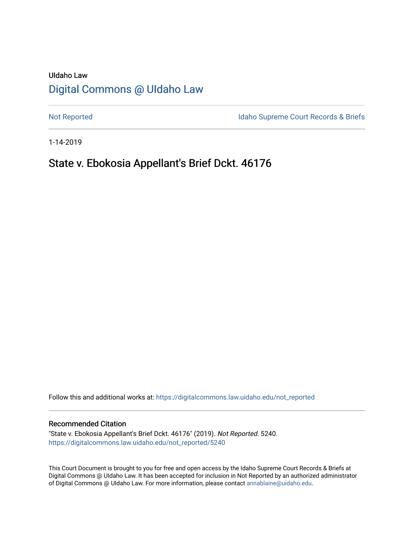# UIdaho Law [Digital Commons @ UIdaho Law](https://digitalcommons.law.uidaho.edu/)

[Not Reported](https://digitalcommons.law.uidaho.edu/not_reported) **Idaho Supreme Court Records & Briefs** 

1-14-2019

# State v. Ebokosia Appellant's Brief Dckt. 46176

Follow this and additional works at: [https://digitalcommons.law.uidaho.edu/not\\_reported](https://digitalcommons.law.uidaho.edu/not_reported?utm_source=digitalcommons.law.uidaho.edu%2Fnot_reported%2F5240&utm_medium=PDF&utm_campaign=PDFCoverPages) 

#### Recommended Citation

"State v. Ebokosia Appellant's Brief Dckt. 46176" (2019). Not Reported. 5240. [https://digitalcommons.law.uidaho.edu/not\\_reported/5240](https://digitalcommons.law.uidaho.edu/not_reported/5240?utm_source=digitalcommons.law.uidaho.edu%2Fnot_reported%2F5240&utm_medium=PDF&utm_campaign=PDFCoverPages)

This Court Document is brought to you for free and open access by the Idaho Supreme Court Records & Briefs at Digital Commons @ UIdaho Law. It has been accepted for inclusion in Not Reported by an authorized administrator of Digital Commons @ UIdaho Law. For more information, please contact [annablaine@uidaho.edu](mailto:annablaine@uidaho.edu).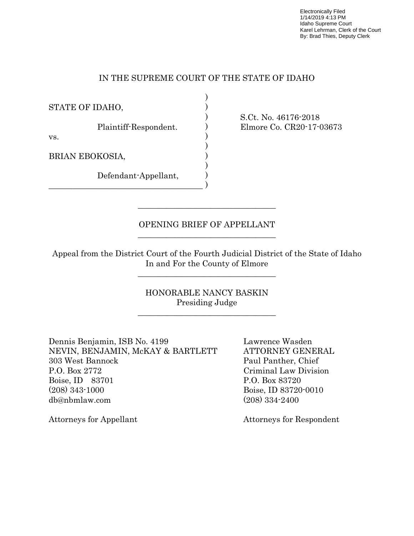Electronically Filed 1/14/2019 4:13 PM Idaho Supreme Court Karel Lehrman, Clerk of the Court By: Brad Thies, Deputy Clerk

### IN THE SUPREME COURT OF THE STATE OF IDAHO

) ) ) ) ) ) ) ) ) )

STATE OF IDAHO,

Plaintiff-Respondent.

vs.

BRIAN EBOKOSIA,

Defendant-Appellant,

 $\mathcal{L}_\text{max}$  and  $\mathcal{L}_\text{max}$  and  $\mathcal{L}_\text{max}$  and  $\mathcal{L}_\text{max}$  and  $\mathcal{L}_\text{max}$ 

 $\mathcal{L}_\text{max}$  , and the set of the set of the set of the set of the set of the set of the set of the set of the set of the set of the set of the set of the set of the set of the set of the set of the set of the set of the

\_\_\_\_\_\_\_\_\_\_\_\_\_\_\_\_\_\_\_\_\_\_\_\_\_\_\_\_\_\_\_\_\_\_\_\_\_\_

S.Ct. No. 46176-2018 Elmore Co. CR20-17-03673

## OPENING BRIEF OF APPELLANT

 $\mathcal{L}=\frac{1}{2}\left\{ \mathcal{L}_{\mathcal{L}}\right\}$  , where  $\mathcal{L}_{\mathcal{L}}$  , we have the set of  $\mathcal{L}_{\mathcal{L}}$ 

 Appeal from the District Court of the Fourth Judicial District of the State of Idaho In and For the County of Elmore

\_\_\_\_\_\_\_\_\_\_\_\_\_\_\_\_\_\_\_\_\_\_\_\_\_\_\_\_\_\_\_\_\_\_

 HONORABLE NANCY BASKIN Presiding Judge

Dennis Benjamin, ISB No. 4199 Lawrence Wasden NEVIN, BENJAMIN, McKAY & BARTLETT ATTORNEY GENERAL 303 West Bannock Paul Panther, Chief P.O. Box 2772 Criminal Law Division Boise, ID 83701 P.O. Box 83720 (208) 343-1000 Boise, ID 83720-0010 db@nbmlaw.com (208) 334-2400

Attorneys for Appellant Attorneys for Respondent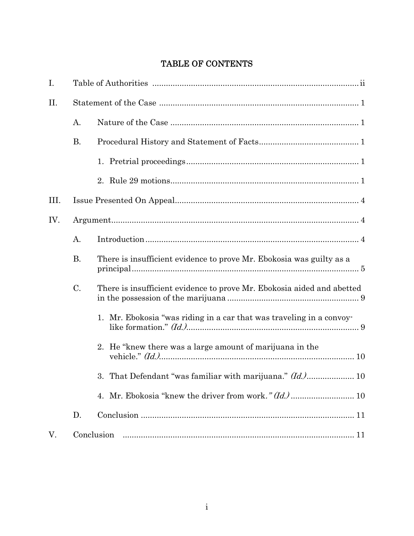# TABLE OF CONTENTS

| I.  |           |                                                                        |  |
|-----|-----------|------------------------------------------------------------------------|--|
| II. |           |                                                                        |  |
|     | A.        |                                                                        |  |
|     | <b>B.</b> |                                                                        |  |
|     |           |                                                                        |  |
|     |           |                                                                        |  |
| Ш.  |           |                                                                        |  |
| IV. |           |                                                                        |  |
|     | A.        |                                                                        |  |
|     | <b>B.</b> | There is insufficient evidence to prove Mr. Ebokosia was guilty as a   |  |
|     | C.        | There is insufficient evidence to prove Mr. Ebokosia aided and abetted |  |
|     |           | 1. Mr. Ebokosia "was riding in a car that was traveling in a convoy-   |  |
|     |           | 2. He "knew there was a large amount of marijuana in the               |  |
|     |           | 3. That Defendant "was familiar with marijuana." (Id.) 10              |  |
|     |           |                                                                        |  |
|     | D.        |                                                                        |  |
| V.  |           | Conclusion                                                             |  |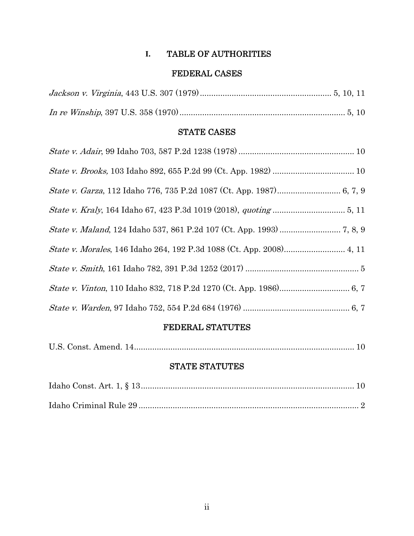# **I.** TABLE OF AUTHORITIES

# FEDERAL CASES

# STATE CASES

# FEDERAL STATUTES

|--|--|--|--|--|

# STATE STATUTES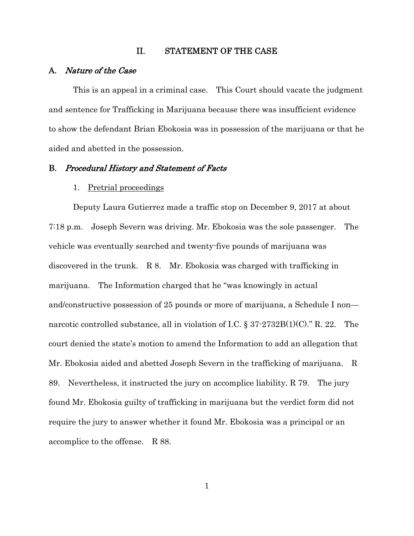#### II. STATEMENT OF THE CASE

### A. Nature of the Case

This is an appeal in a criminal case. This Court should vacate the judgment and sentence for Trafficking in Marijuana because there was insufficient evidence to show the defendant Brian Ebokosia was in possession of the marijuana or that he aided and abetted in the possession.

#### B. Procedural History and Statement of Facts

#### 1. Pretrial proceedings

Deputy Laura Gutierrez made a traffic stop on December 9, 2017 at about 7:18 p.m. Joseph Severn was driving. Mr. Ebokosia was the sole passenger. The vehicle was eventually searched and twenty-five pounds of marijuana was discovered in the trunk. R 8. Mr. Ebokosia was charged with trafficking in marijuana. The Information charged that he "was knowingly in actual and/constructive possession of 25 pounds or more of marijuana, a Schedule I non narcotic controlled substance, all in violation of I.C.  $\S 37-2732B(1)(C)$ ." R. 22. The court denied the state's motion to amend the Information to add an allegation that Mr. Ebokosia aided and abetted Joseph Severn in the trafficking of marijuana. R 89. Nevertheless, it instructed the jury on accomplice liability. R 79. The jury found Mr. Ebokosia guilty of trafficking in marijuana but the verdict form did not require the jury to answer whether it found Mr. Ebokosia was a principal or an accomplice to the offense. R 88.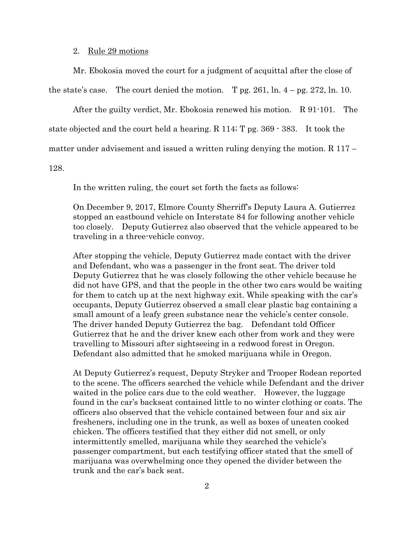#### 2. Rule 29 motions

Mr. Ebokosia moved the court for a judgment of acquittal after the close of

the state's case. The court denied the motion. T pg. 261, ln.  $4 - \text{pg. } 272$ , ln. 10.

After the guilty verdict, Mr. Ebokosia renewed his motion. R 91-101. The

state objected and the court held a hearing. R 114; T pg. 369 - 383. It took the

matter under advisement and issued a written ruling denying the motion. R 117 –

128.

In the written ruling, the court set forth the facts as follows:

 On December 9, 2017, Elmore County Sherriff's Deputy Laura A. Gutierrez stopped an eastbound vehicle on Interstate 84 for following another vehicle too closely. Deputy Gutierrez also observed that the vehicle appeared to be traveling in a three-vehicle convoy.

After stopping the vehicle, Deputy Gutierrez made contact with the driver and Defendant, who was a passenger in the front seat. The driver told Deputy Gutierrez that he was closely following the other vehicle because he did not have GPS, and that the people in the other two cars would be waiting for them to catch up at the next highway exit. While speaking with the car's occupants, Deputy Gutierrez observed a small clear plastic bag containing a small amount of a leafy green substance near the vehicle's center console. The driver handed Deputy Gutierrez the bag. Defendant told Officer Gutierrez that he and the driver knew each other from work and they were travelling to Missouri after sightseeing in a redwood forest in Oregon. Defendant also admitted that he smoked marijuana while in Oregon.

At Deputy Gutierrez's request, Deputy Stryker and Trooper Rodean reported to the scene. The officers searched the vehicle while Defendant and the driver waited in the police cars due to the cold weather. However, the luggage found in the car's backseat contained little to no winter clothing or coats. The officers also observed that the vehicle contained between four and six air fresheners, including one in the trunk, as well as boxes of uneaten cooked chicken. The officers testified that they either did not smell, or only intermittently smelled, marijuana while they searched the vehicle's passenger compartment, but each testifying officer stated that the smell of marijuana was overwhelming once they opened the divider between the trunk and the car's back seat.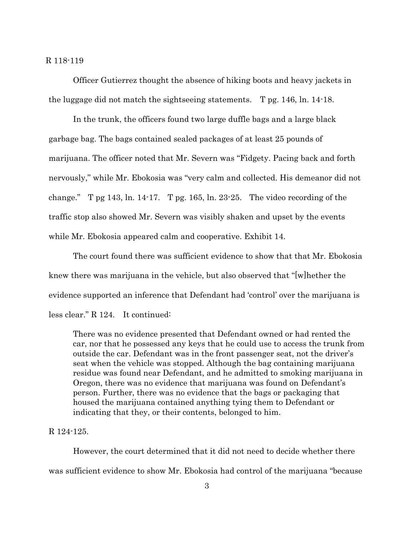#### R 118-119

 Officer Gutierrez thought the absence of hiking boots and heavy jackets in the luggage did not match the sightseeing statements. T pg. 146, ln. 14-18.

 In the trunk, the officers found two large duffle bags and a large black garbage bag. The bags contained sealed packages of at least 25 pounds of marijuana. The officer noted that Mr. Severn was "Fidgety. Pacing back and forth nervously," while Mr. Ebokosia was "very calm and collected. His demeanor did not change."  $T$  pg 143, ln. 14-17.  $T$  pg. 165, ln. 23-25. The video recording of the traffic stop also showed Mr. Severn was visibly shaken and upset by the events while Mr. Ebokosia appeared calm and cooperative. Exhibit 14.

 The court found there was sufficient evidence to show that that Mr. Ebokosia knew there was marijuana in the vehicle, but also observed that "[w]hether the evidence supported an inference that Defendant had 'control' over the marijuana is less clear." R 124. It continued:

There was no evidence presented that Defendant owned or had rented the car, nor that he possessed any keys that he could use to access the trunk from outside the car. Defendant was in the front passenger seat, not the driver's seat when the vehicle was stopped. Although the bag containing marijuana residue was found near Defendant, and he admitted to smoking marijuana in Oregon, there was no evidence that marijuana was found on Defendant's person. Further, there was no evidence that the bags or packaging that housed the marijuana contained anything tying them to Defendant or indicating that they, or their contents, belonged to him.

### R 124-125.

 However, the court determined that it did not need to decide whether there was sufficient evidence to show Mr. Ebokosia had control of the marijuana "because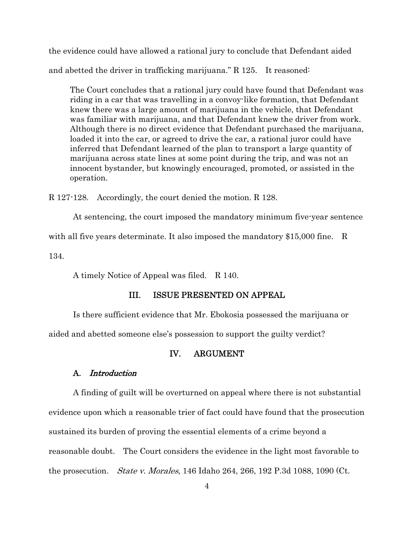the evidence could have allowed a rational jury to conclude that Defendant aided and abetted the driver in trafficking marijuana." R 125. It reasoned:

The Court concludes that a rational jury could have found that Defendant was riding in a car that was travelling in a convoy-like formation, that Defendant knew there was a large amount of marijuana in the vehicle, that Defendant was familiar with marijuana, and that Defendant knew the driver from work. Although there is no direct evidence that Defendant purchased the marijuana, loaded it into the car, or agreed to drive the car, a rational juror could have inferred that Defendant learned of the plan to transport a large quantity of marijuana across state lines at some point during the trip, and was not an innocent bystander, but knowingly encouraged, promoted, or assisted in the operation.

R 127-128. Accordingly, the court denied the motion. R 128.

 At sentencing, the court imposed the mandatory minimum five-year sentence with all five years determinate. It also imposed the mandatory \$15,000 fine. R 134.

A timely Notice of Appeal was filed. R 140.

### III. ISSUE PRESENTED ON APPEAL

Is there sufficient evidence that Mr. Ebokosia possessed the marijuana or

aided and abetted someone else's possession to support the guilty verdict?

#### IV. ARGUMENT

### A. Introduction

A finding of guilt will be overturned on appeal where there is not substantial evidence upon which a reasonable trier of fact could have found that the prosecution sustained its burden of proving the essential elements of a crime beyond a reasonable doubt. The Court considers the evidence in the light most favorable to the prosecution. State v. Morales, 146 Idaho 264, 266, 192 P.3d 1088, 1090 (Ct.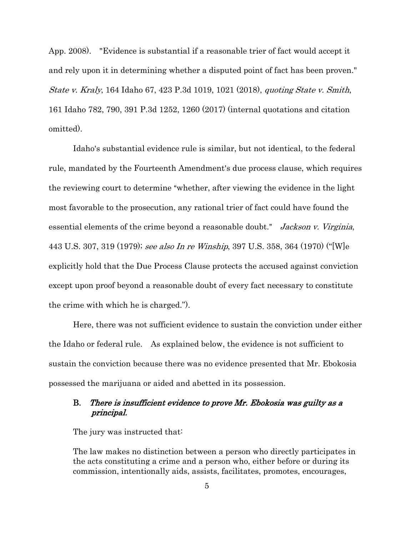App. 2008). "Evidence is substantial if a reasonable trier of fact would accept it and rely upon it in determining whether a disputed point of fact has been proven." State v. Kraly, 164 Idaho 67, 423 P.3d 1019, 1021 (2018), quoting State v. Smith, 161 Idaho 782, 790, 391 P.3d 1252, 1260 (2017) (internal quotations and citation omitted).

Idaho's substantial evidence rule is similar, but not identical, to the federal rule, mandated by the Fourteenth Amendment's due process clause, which requires the reviewing court to determine "whether, after viewing the evidence in the light most favorable to the prosecution, any rational trier of fact could have found the essential elements of the crime beyond a reasonable doubt." Jackson v. Virginia, 443 U.S. 307, 319 (1979); see also In re Winship, 397 U.S. 358, 364 (1970) ("[W]e explicitly hold that the Due Process Clause protects the accused against conviction except upon proof beyond a reasonable doubt of every fact necessary to constitute the crime with which he is charged.").

Here, there was not sufficient evidence to sustain the conviction under either the Idaho or federal rule. As explained below, the evidence is not sufficient to sustain the conviction because there was no evidence presented that Mr. Ebokosia possessed the marijuana or aided and abetted in its possession.

### B. There is insufficient evidence to prove Mr. Ebokosia was guilty as a principal.

The jury was instructed that:

The law makes no distinction between a person who directly participates in the acts constituting a crime and a person who, either before or during its commission, intentionally aids, assists, facilitates, promotes, encourages,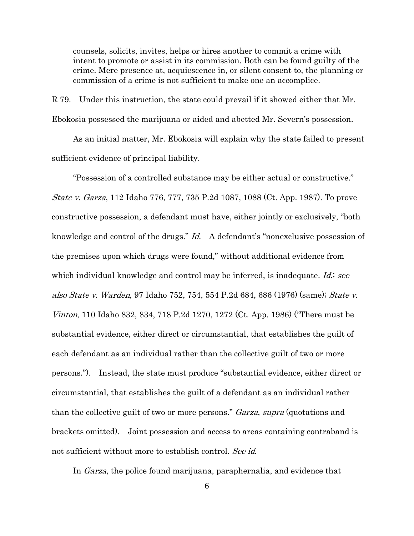counsels, solicits, invites, helps or hires another to commit a crime with intent to promote or assist in its commission. Both can be found guilty of the crime. Mere presence at, acquiescence in, or silent consent to, the planning or commission of a crime is not sufficient to make one an accomplice.

R 79. Under this instruction, the state could prevail if it showed either that Mr. Ebokosia possessed the marijuana or aided and abetted Mr. Severn's possession.

 As an initial matter, Mr. Ebokosia will explain why the state failed to present sufficient evidence of principal liability.

 "Possession of a controlled substance may be either actual or constructive." State v. Garza, 112 Idaho 776, 777, 735 P.2d 1087, 1088 (Ct. App. 1987). To prove constructive possession, a defendant must have, either jointly or exclusively, "both knowledge and control of the drugs." Id. A defendant's "nonexclusive possession of the premises upon which drugs were found," without additional evidence from which individual knowledge and control may be inferred, is inadequate. *Id.*; see also State v. Warden, 97 Idaho 752, 754, 554 P.2d 684, 686 (1976) (same); State v. Vinton, 110 Idaho 832, 834, 718 P.2d 1270, 1272 (Ct. App. 1986) ("There must be substantial evidence, either direct or circumstantial, that establishes the guilt of each defendant as an individual rather than the collective guilt of two or more persons."). Instead, the state must produce "substantial evidence, either direct or circumstantial, that establishes the guilt of a defendant as an individual rather than the collective guilt of two or more persons." *Garza, supra* (quotations and brackets omitted). Joint possession and access to areas containing contraband is not sufficient without more to establish control. See id.

In Garza, the police found marijuana, paraphernalia, and evidence that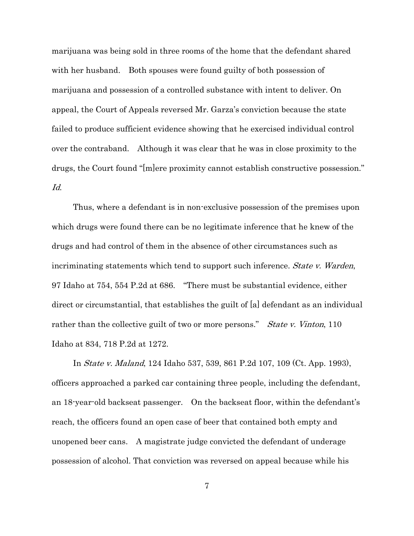marijuana was being sold in three rooms of the home that the defendant shared with her husband. Both spouses were found guilty of both possession of marijuana and possession of a controlled substance with intent to deliver. On appeal, the Court of Appeals reversed Mr. Garza's conviction because the state failed to produce sufficient evidence showing that he exercised individual control over the contraband. Although it was clear that he was in close proximity to the drugs, the Court found "[m]ere proximity cannot establish constructive possession." Id.

 Thus, where a defendant is in non-exclusive possession of the premises upon which drugs were found there can be no legitimate inference that he knew of the drugs and had control of them in the absence of other circumstances such as incriminating statements which tend to support such inference. *State v. Warden*, 97 Idaho at 754, 554 P.2d at 686. "There must be substantial evidence, either direct or circumstantial, that establishes the guilt of [a] defendant as an individual rather than the collective guilt of two or more persons." *State v. Vinton*, 110 Idaho at 834, 718 P.2d at 1272.

 In State v. Maland, 124 Idaho 537, 539, 861 P.2d 107, 109 (Ct. App. 1993), officers approached a parked car containing three people, including the defendant, an 18-year-old backseat passenger. On the backseat floor, within the defendant's reach, the officers found an open case of beer that contained both empty and unopened beer cans. A magistrate judge convicted the defendant of underage possession of alcohol. That conviction was reversed on appeal because while his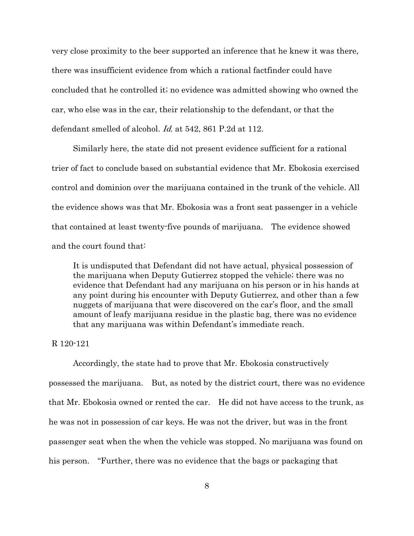very close proximity to the beer supported an inference that he knew it was there, there was insufficient evidence from which a rational factfinder could have concluded that he controlled it; no evidence was admitted showing who owned the car, who else was in the car, their relationship to the defendant, or that the defendant smelled of alcohol. Id. at 542, 861 P.2d at 112.

 Similarly here, the state did not present evidence sufficient for a rational trier of fact to conclude based on substantial evidence that Mr. Ebokosia exercised control and dominion over the marijuana contained in the trunk of the vehicle. All the evidence shows was that Mr. Ebokosia was a front seat passenger in a vehicle that contained at least twenty-five pounds of marijuana. The evidence showed and the court found that:

It is undisputed that Defendant did not have actual, physical possession of the marijuana when Deputy Gutierrez stopped the vehicle; there was no evidence that Defendant had any marijuana on his person or in his hands at any point during his encounter with Deputy Gutierrez, and other than a few nuggets of marijuana that were discovered on the car's floor, and the small amount of leafy marijuana residue in the plastic bag, there was no evidence that any marijuana was within Defendant's immediate reach.

#### R 120-121

 Accordingly, the state had to prove that Mr. Ebokosia constructively possessed the marijuana. But, as noted by the district court, there was no evidence that Mr. Ebokosia owned or rented the car. He did not have access to the trunk, as he was not in possession of car keys. He was not the driver, but was in the front passenger seat when the when the vehicle was stopped. No marijuana was found on his person. "Further, there was no evidence that the bags or packaging that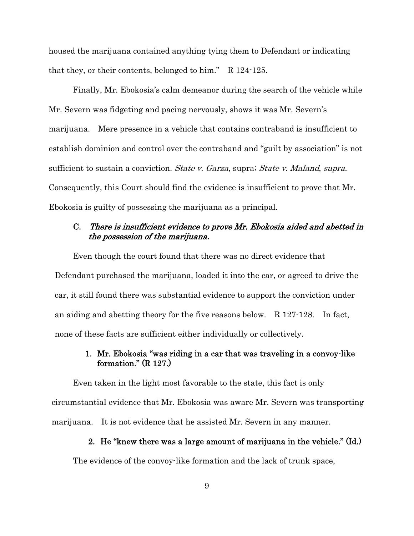housed the marijuana contained anything tying them to Defendant or indicating that they, or their contents, belonged to him." R 124-125.

 Finally, Mr. Ebokosia's calm demeanor during the search of the vehicle while Mr. Severn was fidgeting and pacing nervously, shows it was Mr. Severn's marijuana. Mere presence in a vehicle that contains contraband is insufficient to establish dominion and control over the contraband and "guilt by association" is not sufficient to sustain a conviction. *State v. Garza*, supra; *State v. Maland, supra.* Consequently, this Court should find the evidence is insufficient to prove that Mr. Ebokosia is guilty of possessing the marijuana as a principal.

## C. There is insufficient evidence to prove Mr. Ebokosia aided and abetted in the possession of the marijuana.

 Even though the court found that there was no direct evidence that Defendant purchased the marijuana, loaded it into the car, or agreed to drive the car, it still found there was substantial evidence to support the conviction under an aiding and abetting theory for the five reasons below. R 127-128. In fact, none of these facts are sufficient either individually or collectively.

## 1. Mr. Ebokosia "was riding in a car that was traveling in a convoy-like formation." (R 127.)

 Even taken in the light most favorable to the state, this fact is only circumstantial evidence that Mr. Ebokosia was aware Mr. Severn was transporting marijuana. It is not evidence that he assisted Mr. Severn in any manner.

### 2. He "knew there was a large amount of marijuana in the vehicle." (Id.)

The evidence of the convoy-like formation and the lack of trunk space,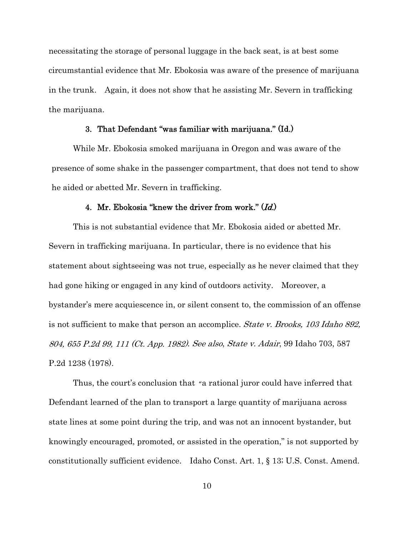necessitating the storage of personal luggage in the back seat, is at best some circumstantial evidence that Mr. Ebokosia was aware of the presence of marijuana in the trunk. Again, it does not show that he assisting Mr. Severn in trafficking the marijuana.

#### 3. That Defendant "was familiar with marijuana." (Id.)

 While Mr. Ebokosia smoked marijuana in Oregon and was aware of the presence of some shake in the passenger compartment, that does not tend to show he aided or abetted Mr. Severn in trafficking.

#### 4. Mr. Ebokosia "knew the driver from work."  $(Id.)$

 This is not substantial evidence that Mr. Ebokosia aided or abetted Mr. Severn in trafficking marijuana. In particular, there is no evidence that his statement about sightseeing was not true, especially as he never claimed that they had gone hiking or engaged in any kind of outdoors activity. Moreover, a bystander's mere acquiescence in, or silent consent to, the commission of an offense is not sufficient to make that person an accomplice. *State v. Brooks*, 103 Idaho 892, 804, 655 P.2d 99, 111 (Ct. App. 1982). See also, State v. Adair, 99 Idaho 703, 587 P.2d 1238 (1978).

 Thus, the court's conclusion that "a rational juror could have inferred that Defendant learned of the plan to transport a large quantity of marijuana across state lines at some point during the trip, and was not an innocent bystander, but knowingly encouraged, promoted, or assisted in the operation," is not supported by constitutionally sufficient evidence. Idaho Const. Art. 1, § 13; U.S. Const. Amend.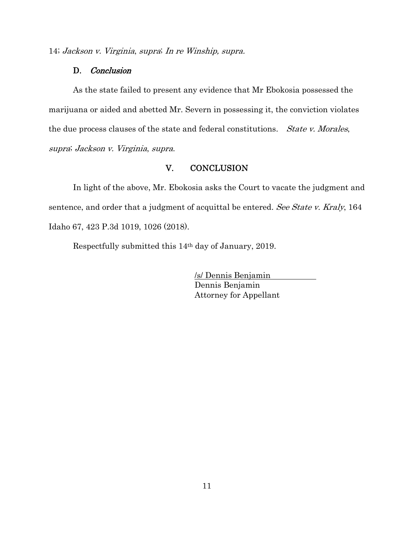14; Jackson v. Virginia, supra; In re Winship, supra.

### D. Conclusion

 As the state failed to present any evidence that Mr Ebokosia possessed the marijuana or aided and abetted Mr. Severn in possessing it, the conviction violates the due process clauses of the state and federal constitutions. *State v. Morales*, supra; Jackson v. Virginia, supra.

## V. CONCLUSION

 In light of the above, Mr. Ebokosia asks the Court to vacate the judgment and sentence, and order that a judgment of acquittal be entered. See State v. Kraly, 164 Idaho 67, 423 P.3d 1019, 1026 (2018).

Respectfully submitted this 14th day of January, 2019.

/s/ Dennis Benjamin Dennis Benjamin Attorney for Appellant